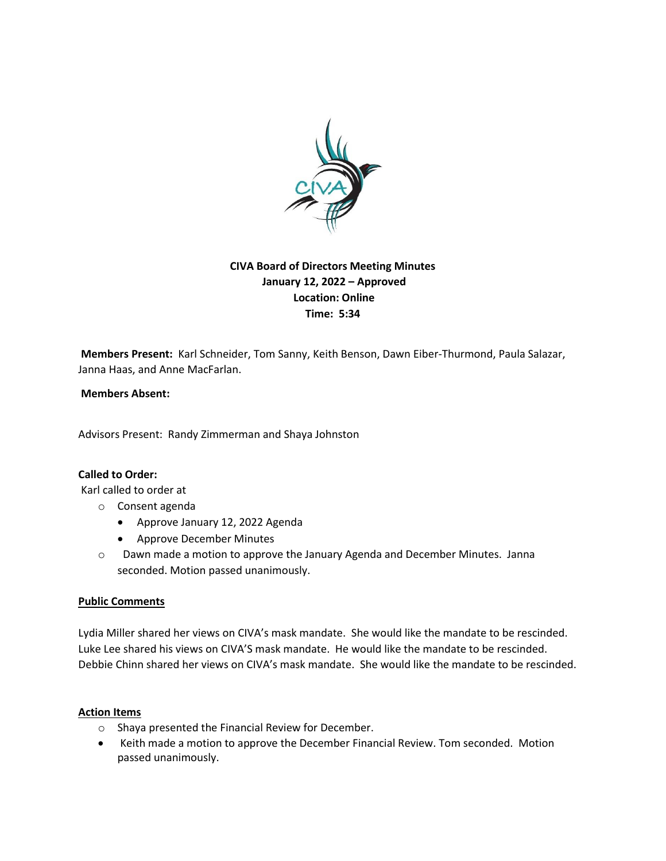

# **CIVA Board of Directors Meeting Minutes January 12, 2022 – Approved Location: Online Time: 5:34**

**Members Present:** Karl Schneider, Tom Sanny, Keith Benson, Dawn Eiber-Thurmond, Paula Salazar, Janna Haas, and Anne MacFarlan.

### **Members Absent:**

Advisors Present: Randy Zimmerman and Shaya Johnston

## **Called to Order:**

Karl called to order at

- o Consent agenda
	- Approve January 12, 2022 Agenda
	- Approve December Minutes
- o Dawn made a motion to approve the January Agenda and December Minutes. Janna seconded. Motion passed unanimously.

#### **Public Comments**

Lydia Miller shared her views on CIVA's mask mandate. She would like the mandate to be rescinded. Luke Lee shared his views on CIVA'S mask mandate. He would like the mandate to be rescinded. Debbie Chinn shared her views on CIVA's mask mandate. She would like the mandate to be rescinded.

#### **Action Items**

- o Shaya presented the Financial Review for December.
- Keith made a motion to approve the December Financial Review. Tom seconded. Motion passed unanimously.